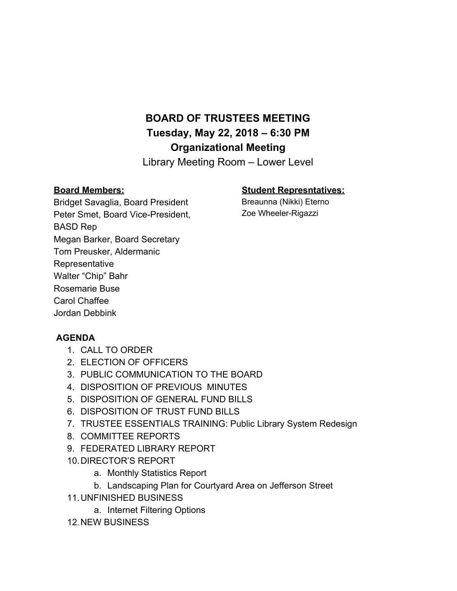## **BOARD OF TRUSTEES MEETING Tuesday, May 22, 2018 – 6:30 PM Organizational Meeting**

Library Meeting Room – Lower Level

## **Board Members:**

## **Student Represntatives:**

Breaunna (Nikki) Eterno Zoe Wheeler-Rigazzi

Bridget Savaglia, Board President Peter Smet, Board Vice-President, BASD Rep Megan Barker, Board Secretary Tom Preusker, Aldermanic **Representative** Walter "Chip" Bahr Rosemarie Buse Carol Chaffee Jordan Debbink

## **AGENDA**

- 1. CALL TO ORDER
- 2. ELECTION OF OFFICERS
- 3. PUBLIC COMMUNICATION TO THE BOARD
- 4. DISPOSITION OF PREVIOUS MINUTES
- 5. DISPOSITION OF GENERAL FUND BILLS
- 6. DISPOSITION OF TRUST FUND BILLS
- 7. TRUSTEE ESSENTIALS TRAINING: Public Library System Redesig[n](https://dpi.wi.gov/sites/default/files/imce/pld/pdf/TE21.pdf)
- 8. COMMITTEE REPORTS
- 9. FEDERATED LIBRARY REPORT
- 10.DIRECTOR'S REPORT
	- a. Monthly Statistics Report
	- b. Landscaping Plan for Courtyard Area on Jefferson Street
- 11.UNFINISHED BUSINESS
	- a. Internet Filtering Options
- 12.NEW BUSINESS